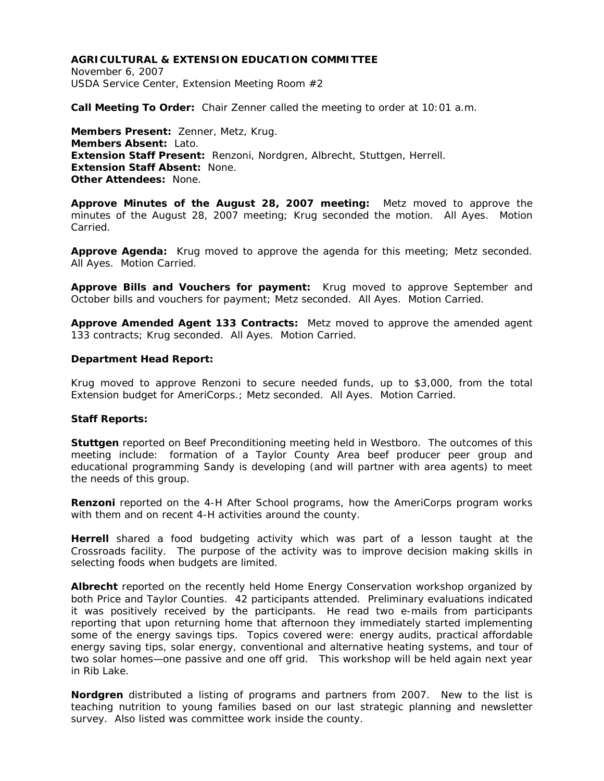# **AGRICULTURAL & EXTENSION EDUCATION COMMITTEE**

November 6, 2007 USDA Service Center, Extension Meeting Room #2

**Call Meeting To Order:** Chair Zenner called the meeting to order at 10:01 a.m.

**Members Present:** Zenner, Metz, Krug. **Members Absent:** Lato. **Extension Staff Present:** Renzoni, Nordgren, Albrecht, Stuttgen, Herrell. **Extension Staff Absent:** None. **Other Attendees:** None.

**Approve Minutes of the August 28, 2007 meeting:** Metz moved to approve the minutes of the August 28, 2007 meeting; Krug seconded the motion. All Ayes. Motion Carried.

**Approve Agenda:** Krug moved to approve the agenda for this meeting; Metz seconded. All Ayes. Motion Carried.

**Approve Bills and Vouchers for payment:** Krug moved to approve September and October bills and vouchers for payment; Metz seconded. All Ayes. Motion Carried.

**Approve Amended Agent 133 Contracts:** Metz moved to approve the amended agent 133 contracts; Krug seconded. All Ayes. Motion Carried.

#### **Department Head Report:**

Krug moved to approve Renzoni to secure needed funds, up to \$3,000, from the total Extension budget for AmeriCorps.; Metz seconded. All Ayes. Motion Carried.

### **Staff Reports:**

**Stuttgen** reported on Beef Preconditioning meeting held in Westboro. The outcomes of this meeting include: formation of a Taylor County Area beef producer peer group and educational programming Sandy is developing (and will partner with area agents) to meet the needs of this group.

**Renzoni** reported on the 4-H After School programs, how the AmeriCorps program works with them and on recent 4-H activities around the county.

**Herrell** shared a food budgeting activity which was part of a lesson taught at the Crossroads facility. The purpose of the activity was to improve decision making skills in selecting foods when budgets are limited.

**Albrecht** reported on the recently held Home Energy Conservation workshop organized by both Price and Taylor Counties. 42 participants attended. Preliminary evaluations indicated it was positively received by the participants. He read two e-mails from participants reporting that upon returning home that afternoon they immediately started implementing some of the energy savings tips. Topics covered were: energy audits, practical affordable energy saving tips, solar energy, conventional and alternative heating systems, and tour of two solar homes—one passive and one off grid. This workshop will be held again next year in Rib Lake.

**Nordgren** distributed a listing of programs and partners from 2007. New to the list is teaching nutrition to young families based on our last strategic planning and newsletter survey. Also listed was committee work inside the county.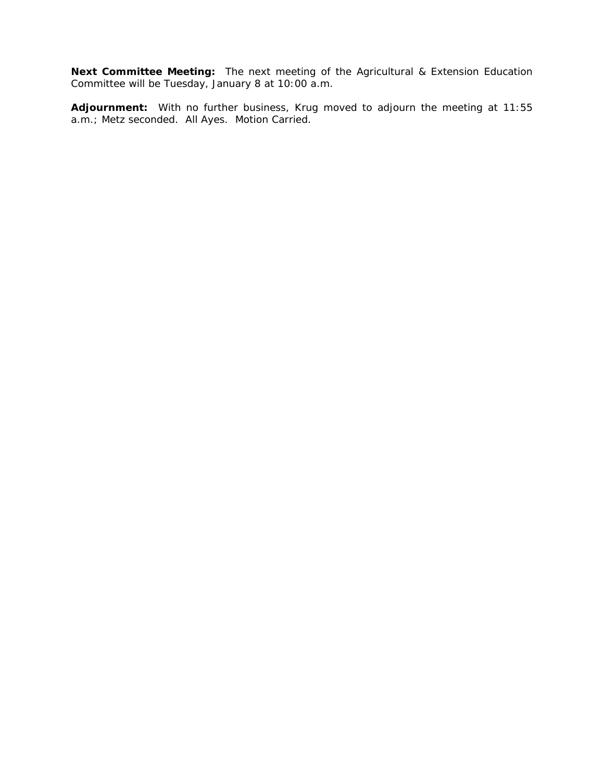**Next Committee Meeting:** The next meeting of the Agricultural & Extension Education Committee will be Tuesday, January 8 at 10:00 a.m.

**Adjournment:** With no further business, Krug moved to adjourn the meeting at 11:55 a.m.; Metz seconded. All Ayes. Motion Carried.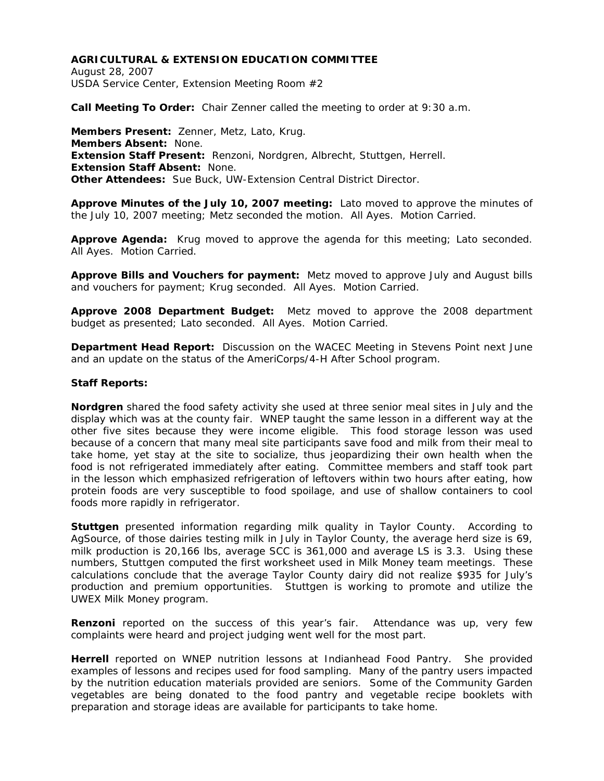# **AGRICULTURAL & EXTENSION EDUCATION COMMITTEE**

August 28, 2007 USDA Service Center, Extension Meeting Room #2

**Call Meeting To Order:** Chair Zenner called the meeting to order at 9:30 a.m.

**Members Present:** Zenner, Metz, Lato, Krug. **Members Absent:** None. **Extension Staff Present:** Renzoni, Nordgren, Albrecht, Stuttgen, Herrell. **Extension Staff Absent:** None. **Other Attendees:** Sue Buck, UW-Extension Central District Director.

**Approve Minutes of the July 10, 2007 meeting:** Lato moved to approve the minutes of the July 10, 2007 meeting; Metz seconded the motion. All Ayes. Motion Carried.

**Approve Agenda:** Krug moved to approve the agenda for this meeting; Lato seconded. All Ayes. Motion Carried.

**Approve Bills and Vouchers for payment:** Metz moved to approve July and August bills and vouchers for payment; Krug seconded. All Ayes. Motion Carried.

**Approve 2008 Department Budget:** Metz moved to approve the 2008 department budget as presented; Lato seconded. All Ayes. Motion Carried.

**Department Head Report:** Discussion on the WACEC Meeting in Stevens Point next June and an update on the status of the AmeriCorps/4-H After School program.

### **Staff Reports:**

**Nordgren** shared the food safety activity she used at three senior meal sites in July and the display which was at the county fair. WNEP taught the same lesson in a different way at the other five sites because they were income eligible. This food storage lesson was used because of a concern that many meal site participants save food and milk from their meal to take home, yet stay at the site to socialize, thus jeopardizing their own health when the food is not refrigerated immediately after eating. Committee members and staff took part in the lesson which emphasized refrigeration of leftovers within two hours after eating, how protein foods are very susceptible to food spoilage, and use of shallow containers to cool foods more rapidly in refrigerator.

**Stuttgen** presented information regarding milk quality in Taylor County. According to AgSource, of those dairies testing milk in July in Taylor County, the average herd size is 69, milk production is 20,166 lbs, average SCC is 361,000 and average LS is 3.3. Using these numbers, Stuttgen computed the first worksheet used in Milk Money team meetings. These calculations conclude that the average Taylor County dairy did not realize \$935 for July's production and premium opportunities. Stuttgen is working to promote and utilize the UWEX Milk Money program.

**Renzoni** reported on the success of this year's fair. Attendance was up, very few complaints were heard and project judging went well for the most part.

**Herrell** reported on WNEP nutrition lessons at Indianhead Food Pantry. She provided examples of lessons and recipes used for food sampling. Many of the pantry users impacted by the nutrition education materials provided are seniors. Some of the Community Garden vegetables are being donated to the food pantry and vegetable recipe booklets with preparation and storage ideas are available for participants to take home.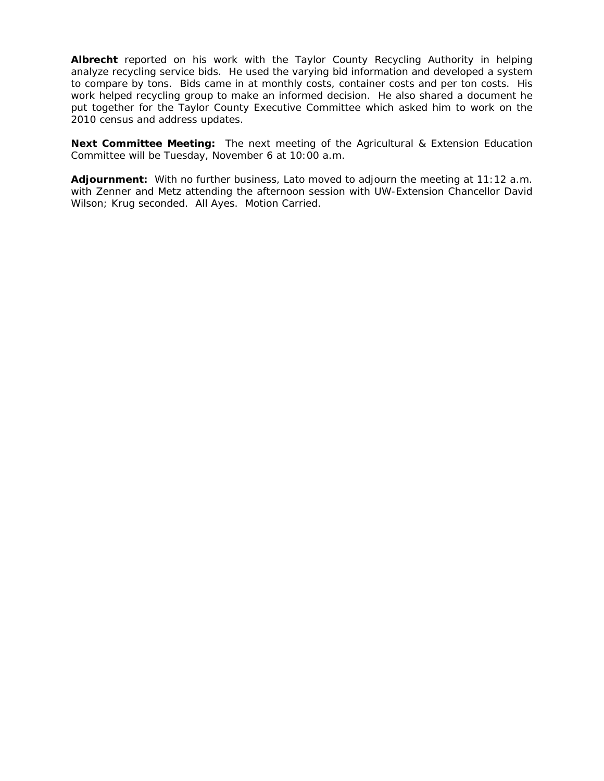**Albrecht** reported on his work with the Taylor County Recycling Authority in helping analyze recycling service bids. He used the varying bid information and developed a system to compare by tons. Bids came in at monthly costs, container costs and per ton costs. His work helped recycling group to make an informed decision. He also shared a document he put together for the Taylor County Executive Committee which asked him to work on the 2010 census and address updates.

**Next Committee Meeting:** The next meeting of the Agricultural & Extension Education Committee will be Tuesday, November 6 at 10:00 a.m.

**Adjournment:** With no further business, Lato moved to adjourn the meeting at 11:12 a.m. with Zenner and Metz attending the afternoon session with UW-Extension Chancellor David Wilson; Krug seconded. All Ayes. Motion Carried.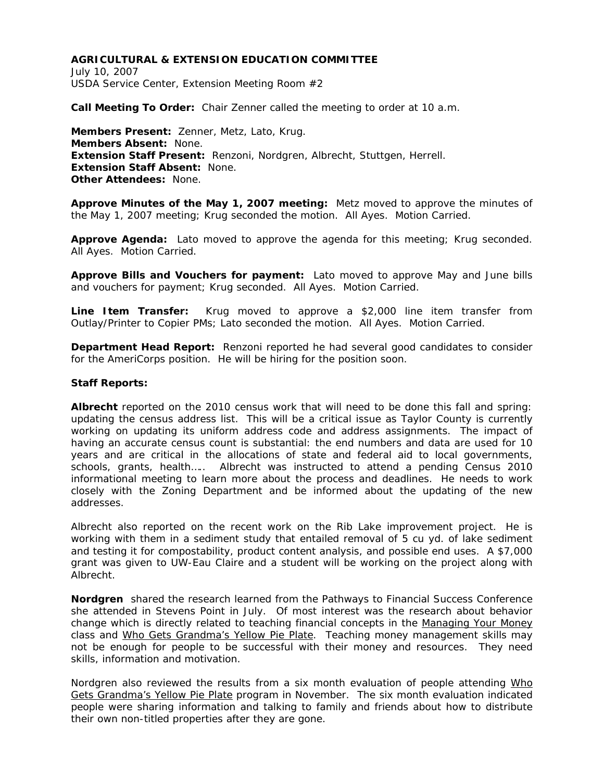# **AGRICULTURAL & EXTENSION EDUCATION COMMITTEE**

July 10, 2007 USDA Service Center, Extension Meeting Room #2

**Call Meeting To Order:** Chair Zenner called the meeting to order at 10 a.m.

**Members Present:** Zenner, Metz, Lato, Krug. **Members Absent:** None. **Extension Staff Present:** Renzoni, Nordgren, Albrecht, Stuttgen, Herrell. **Extension Staff Absent:** None. **Other Attendees:** None.

**Approve Minutes of the May 1, 2007 meeting:** Metz moved to approve the minutes of the May 1, 2007 meeting; Krug seconded the motion. All Ayes. Motion Carried.

**Approve Agenda:** Lato moved to approve the agenda for this meeting; Krug seconded. All Ayes. Motion Carried.

**Approve Bills and Vouchers for payment:** Lato moved to approve May and June bills and vouchers for payment; Krug seconded. All Ayes. Motion Carried.

**Line Item Transfer:** Krug moved to approve a \$2,000 line item transfer from Outlay/Printer to Copier PMs; Lato seconded the motion. All Ayes. Motion Carried.

**Department Head Report:** Renzoni reported he had several good candidates to consider for the AmeriCorps position. He will be hiring for the position soon.

## **Staff Reports:**

**Albrecht** reported on the 2010 census work that will need to be done this fall and spring: updating the census address list. This will be a critical issue as Taylor County is currently working on updating its uniform address code and address assignments. The impact of having an accurate census count is substantial: the end numbers and data are used for 10 years and are critical in the allocations of state and federal aid to local governments, schools, grants, health….. Albrecht was instructed to attend a pending Census 2010 informational meeting to learn more about the process and deadlines. He needs to work closely with the Zoning Department and be informed about the updating of the new addresses.

Albrecht also reported on the recent work on the Rib Lake improvement project. He is working with them in a sediment study that entailed removal of 5 cu yd. of lake sediment and testing it for compostability, product content analysis, and possible end uses. A \$7,000 grant was given to UW-Eau Claire and a student will be working on the project along with Albrecht.

**Nordgren** shared the research learned from the Pathways to Financial Success Conference she attended in Stevens Point in July. Of most interest was the research about behavior change which is directly related to teaching financial concepts in the Managing Your Money class and Who Gets Grandma's Yellow Pie Plate. Teaching money management skills may not be enough for people to be successful with their money and resources. They need skills, information and motivation.

Nordgren also reviewed the results from a six month evaluation of people attending Who Gets Grandma's Yellow Pie Plate program in November. The six month evaluation indicated people were sharing information and talking to family and friends about how to distribute their own non-titled properties after they are gone.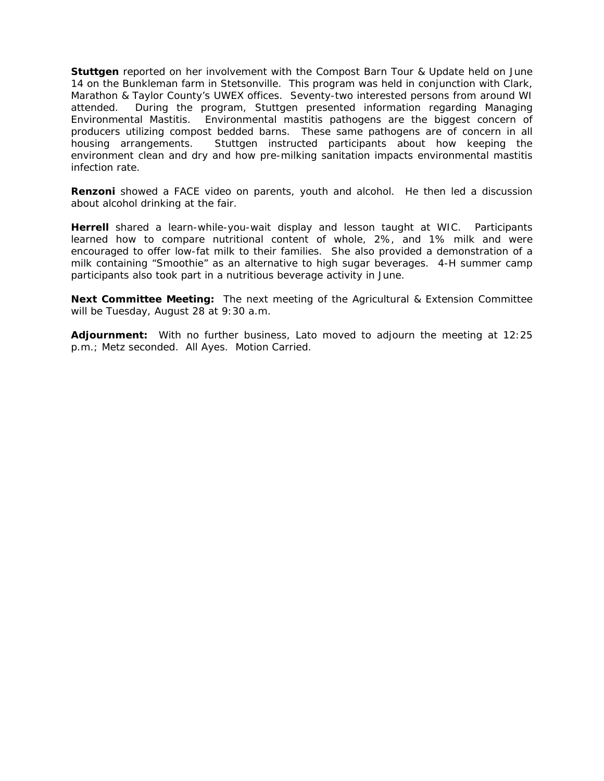**Stuttgen** reported on her involvement with the Compost Barn Tour & Update held on June 14 on the Bunkleman farm in Stetsonville. This program was held in conjunction with Clark, Marathon & Taylor County's UWEX offices. Seventy-two interested persons from around WI attended. During the program, Stuttgen presented information regarding Managing Environmental Mastitis. Environmental mastitis pathogens are the biggest concern of producers utilizing compost bedded barns. These same pathogens are of concern in all housing arrangements. Stuttgen instructed participants about how keeping the environment clean and dry and how pre-milking sanitation impacts environmental mastitis infection rate.

**Renzoni** showed a FACE video on parents, youth and alcohol. He then led a discussion about alcohol drinking at the fair.

**Herrell** shared a learn-while-you-wait display and lesson taught at WIC. Participants learned how to compare nutritional content of whole, 2%, and 1% milk and were encouraged to offer low-fat milk to their families. She also provided a demonstration of a milk containing "Smoothie" as an alternative to high sugar beverages. 4-H summer camp participants also took part in a nutritious beverage activity in June.

**Next Committee Meeting:** The next meeting of the Agricultural & Extension Committee will be Tuesday, August 28 at 9:30 a.m.

**Adjournment:** With no further business, Lato moved to adjourn the meeting at 12:25 p.m.; Metz seconded. All Ayes. Motion Carried.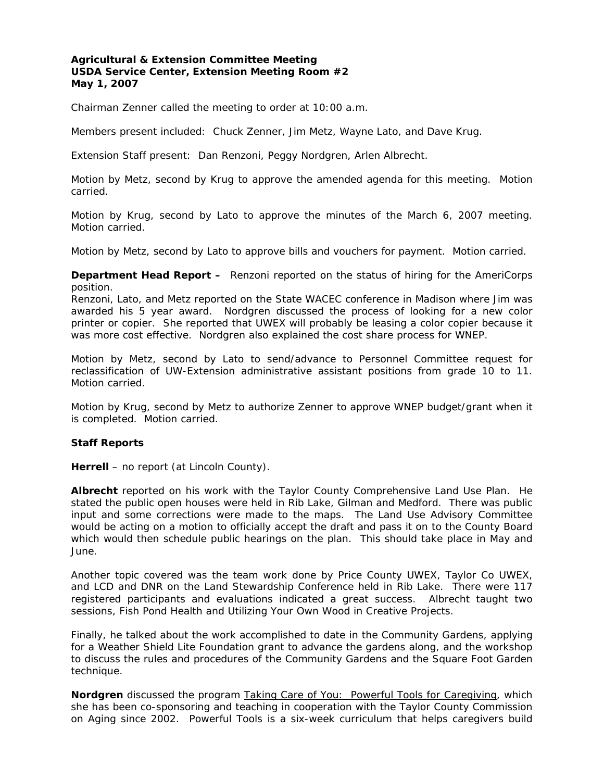## **Agricultural & Extension Committee Meeting USDA Service Center, Extension Meeting Room #2 May 1, 2007**

Chairman Zenner called the meeting to order at 10:00 a.m.

Members present included: Chuck Zenner, Jim Metz, Wayne Lato, and Dave Krug.

Extension Staff present: Dan Renzoni, Peggy Nordgren, Arlen Albrecht.

Motion by Metz, second by Krug to approve the amended agenda for this meeting. Motion carried.

Motion by Krug, second by Lato to approve the minutes of the March 6, 2007 meeting. Motion carried.

Motion by Metz, second by Lato to approve bills and vouchers for payment. Motion carried.

**Department Head Report –** Renzoni reported on the status of hiring for the AmeriCorps position.

Renzoni, Lato, and Metz reported on the State WACEC conference in Madison where Jim was awarded his 5 year award. Nordgren discussed the process of looking for a new color printer or copier. She reported that UWEX will probably be leasing a color copier because it was more cost effective. Nordgren also explained the cost share process for WNEP.

Motion by Metz, second by Lato to send/advance to Personnel Committee request for reclassification of UW-Extension administrative assistant positions from grade 10 to 11. Motion carried.

Motion by Krug, second by Metz to authorize Zenner to approve WNEP budget/grant when it is completed. Motion carried.

# **Staff Reports**

**Herrell** – no report (at Lincoln County).

**Albrecht** reported on his work with the Taylor County Comprehensive Land Use Plan. He stated the public open houses were held in Rib Lake, Gilman and Medford. There was public input and some corrections were made to the maps. The Land Use Advisory Committee would be acting on a motion to officially accept the draft and pass it on to the County Board which would then schedule public hearings on the plan. This should take place in May and June.

Another topic covered was the team work done by Price County UWEX, Taylor Co UWEX, and LCD and DNR on the Land Stewardship Conference held in Rib Lake. There were 117 registered participants and evaluations indicated a great success. Albrecht taught two sessions, Fish Pond Health and Utilizing Your Own Wood in Creative Projects.

Finally, he talked about the work accomplished to date in the Community Gardens, applying for a Weather Shield Lite Foundation grant to advance the gardens along, and the workshop to discuss the rules and procedures of the Community Gardens and the Square Foot Garden technique.

**Nordgren** discussed the program Taking Care of You: Powerful Tools for Caregiving, which she has been co-sponsoring and teaching in cooperation with the Taylor County Commission on Aging since 2002. Powerful Tools is a six-week curriculum that helps caregivers build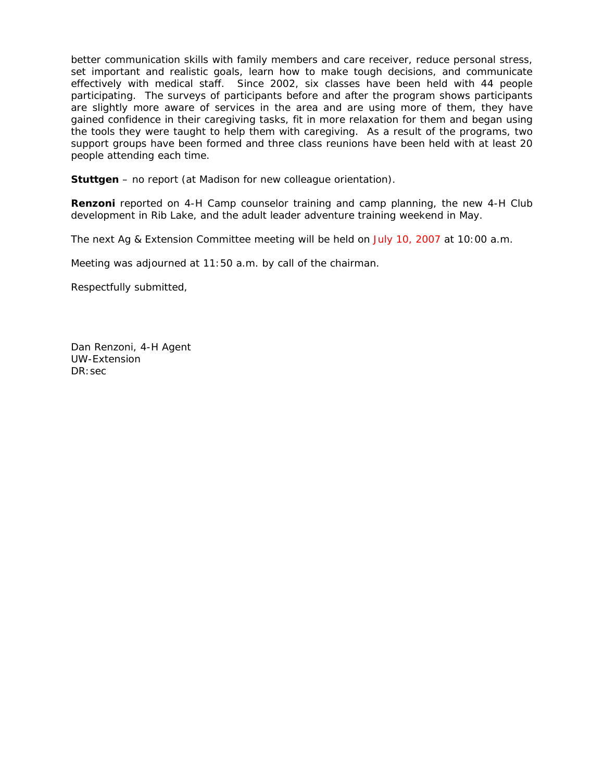better communication skills with family members and care receiver, reduce personal stress, set important and realistic goals, learn how to make tough decisions, and communicate effectively with medical staff. Since 2002, six classes have been held with 44 people participating. The surveys of participants before and after the program shows participants are slightly more aware of services in the area and are using more of them, they have gained confidence in their caregiving tasks, fit in more relaxation for them and began using the tools they were taught to help them with caregiving. As a result of the programs, two support groups have been formed and three class reunions have been held with at least 20 people attending each time.

**Stuttgen** – no report (at Madison for new colleague orientation).

**Renzoni** reported on 4-H Camp counselor training and camp planning, the new 4-H Club development in Rib Lake, and the adult leader adventure training weekend in May.

The next Ag & Extension Committee meeting will be held on July 10, 2007 at 10:00 a.m.

Meeting was adjourned at 11:50 a.m. by call of the chairman.

Respectfully submitted,

Dan Renzoni, 4-H Agent UW-Extension DR:sec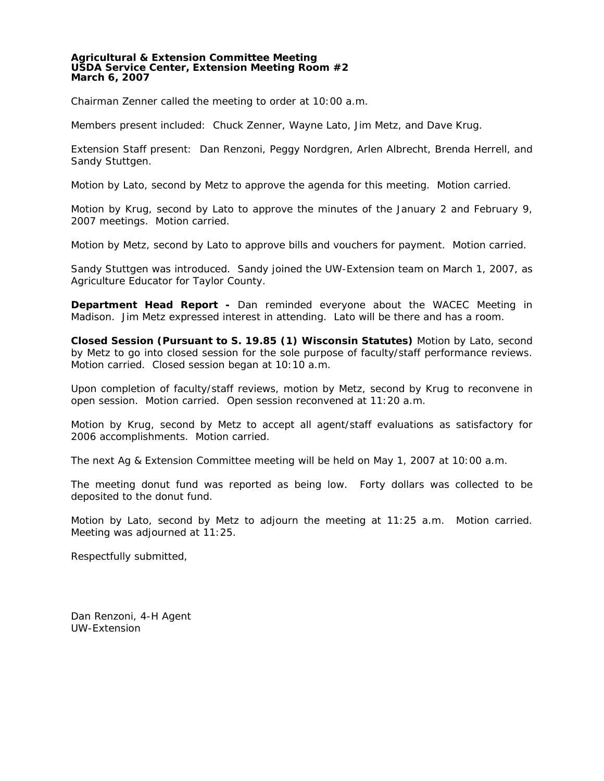#### **Agricultural & Extension Committee Meeting USDA Service Center, Extension Meeting Room #2 March 6, 2007**

Chairman Zenner called the meeting to order at 10:00 a.m.

Members present included: Chuck Zenner, Wayne Lato, Jim Metz, and Dave Krug.

Extension Staff present: Dan Renzoni, Peggy Nordgren, Arlen Albrecht, Brenda Herrell, and Sandy Stuttgen.

Motion by Lato, second by Metz to approve the agenda for this meeting. Motion carried.

Motion by Krug, second by Lato to approve the minutes of the January 2 and February 9, 2007 meetings. Motion carried.

Motion by Metz, second by Lato to approve bills and vouchers for payment. Motion carried.

Sandy Stuttgen was introduced. Sandy joined the UW-Extension team on March 1, 2007, as Agriculture Educator for Taylor County.

**Department Head Report -** Dan reminded everyone about the WACEC Meeting in Madison. Jim Metz expressed interest in attending. Lato will be there and has a room.

**Closed Session (Pursuant to S. 19.85 (1) Wisconsin Statutes)** Motion by Lato, second by Metz to go into closed session for the sole purpose of faculty/staff performance reviews. Motion carried. Closed session began at 10:10 a.m.

Upon completion of faculty/staff reviews, motion by Metz, second by Krug to reconvene in open session. Motion carried. Open session reconvened at 11:20 a.m.

Motion by Krug, second by Metz to accept all agent/staff evaluations as satisfactory for 2006 accomplishments. Motion carried.

The next Ag & Extension Committee meeting will be held on May 1, 2007 at 10:00 a.m.

The meeting donut fund was reported as being low. Forty dollars was collected to be deposited to the donut fund.

Motion by Lato, second by Metz to adjourn the meeting at 11:25 a.m. Motion carried. Meeting was adjourned at 11:25.

Respectfully submitted,

Dan Renzoni, 4-H Agent UW-Extension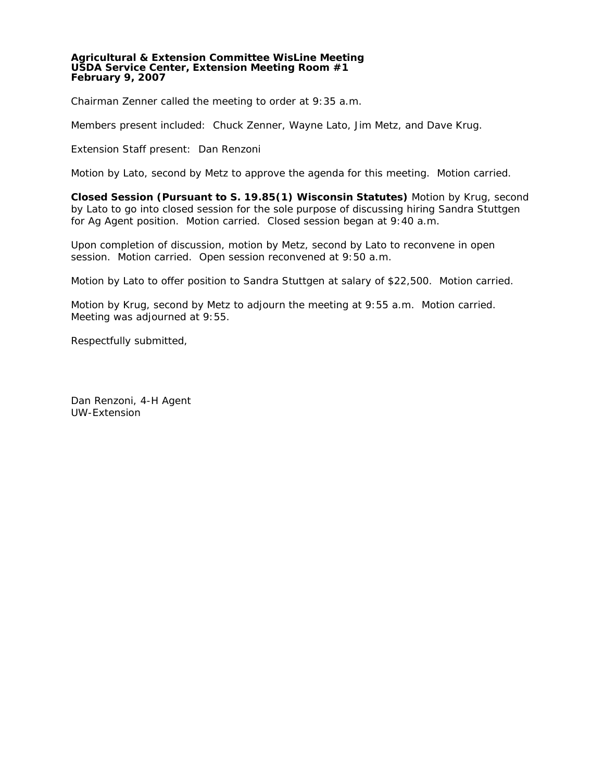#### **Agricultural & Extension Committee WisLine Meeting USDA Service Center, Extension Meeting Room #1 February 9, 2007**

Chairman Zenner called the meeting to order at 9:35 a.m.

Members present included: Chuck Zenner, Wayne Lato, Jim Metz, and Dave Krug.

Extension Staff present: Dan Renzoni

Motion by Lato, second by Metz to approve the agenda for this meeting. Motion carried.

**Closed Session (Pursuant to S. 19.85(1) Wisconsin Statutes)** Motion by Krug, second by Lato to go into closed session for the sole purpose of discussing hiring Sandra Stuttgen for Ag Agent position. Motion carried. Closed session began at 9:40 a.m.

Upon completion of discussion, motion by Metz, second by Lato to reconvene in open session. Motion carried. Open session reconvened at 9:50 a.m.

Motion by Lato to offer position to Sandra Stuttgen at salary of \$22,500. Motion carried.

Motion by Krug, second by Metz to adjourn the meeting at 9:55 a.m. Motion carried. Meeting was adjourned at 9:55.

Respectfully submitted,

Dan Renzoni, 4-H Agent UW-Extension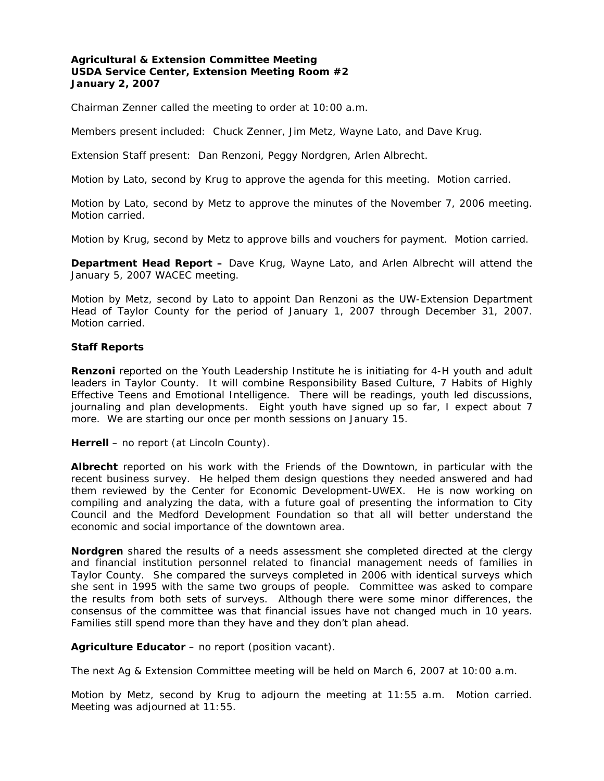# **Agricultural & Extension Committee Meeting USDA Service Center, Extension Meeting Room #2 January 2, 2007**

Chairman Zenner called the meeting to order at 10:00 a.m.

Members present included: Chuck Zenner, Jim Metz, Wayne Lato, and Dave Krug.

Extension Staff present: Dan Renzoni, Peggy Nordgren, Arlen Albrecht.

Motion by Lato, second by Krug to approve the agenda for this meeting. Motion carried.

Motion by Lato, second by Metz to approve the minutes of the November 7, 2006 meeting. Motion carried.

Motion by Krug, second by Metz to approve bills and vouchers for payment. Motion carried.

**Department Head Report –** Dave Krug, Wayne Lato, and Arlen Albrecht will attend the January 5, 2007 WACEC meeting.

Motion by Metz, second by Lato to appoint Dan Renzoni as the UW-Extension Department Head of Taylor County for the period of January 1, 2007 through December 31, 2007. Motion carried.

## **Staff Reports**

**Renzoni** reported on the Youth Leadership Institute he is initiating for 4-H youth and adult leaders in Taylor County. It will combine Responsibility Based Culture, 7 Habits of Highly Effective Teens and Emotional Intelligence. There will be readings, youth led discussions, journaling and plan developments. Eight youth have signed up so far, I expect about 7 more. We are starting our once per month sessions on January 15.

Herrell – no report (at Lincoln County).

**Albrecht** reported on his work with the Friends of the Downtown, in particular with the recent business survey. He helped them design questions they needed answered and had them reviewed by the Center for Economic Development-UWEX. He is now working on compiling and analyzing the data, with a future goal of presenting the information to City Council and the Medford Development Foundation so that all will better understand the economic and social importance of the downtown area.

**Nordgren** shared the results of a needs assessment she completed directed at the clergy and financial institution personnel related to financial management needs of families in Taylor County. She compared the surveys completed in 2006 with identical surveys which she sent in 1995 with the same two groups of people. Committee was asked to compare the results from both sets of surveys. Although there were some minor differences, the consensus of the committee was that financial issues have not changed much in 10 years. Families still spend more than they have and they don't plan ahead.

**Agriculture Educator** – no report (position vacant).

The next Ag & Extension Committee meeting will be held on March 6, 2007 at 10:00 a.m.

Motion by Metz, second by Krug to adjourn the meeting at 11:55 a.m. Motion carried. Meeting was adjourned at 11:55.